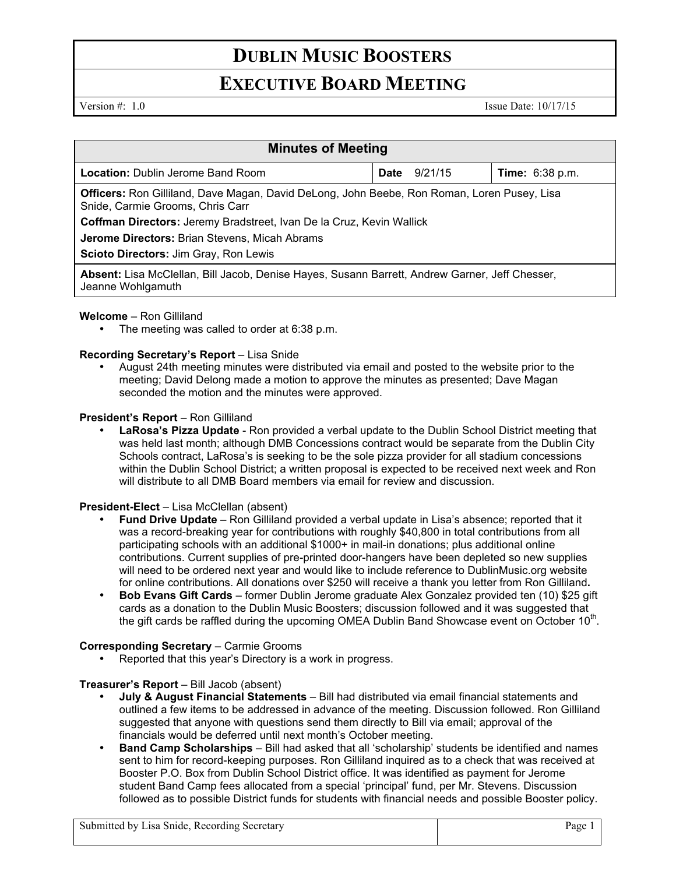# **DUBLIN MUSIC BOOSTERS**

# **EXECUTIVE BOARD MEETING**

Version #: 1.0 Issue Date: 10/17/15

| <b>Minutes of Meeting</b>                                                                                                              |                 |                        |
|----------------------------------------------------------------------------------------------------------------------------------------|-----------------|------------------------|
| <b>Location:</b> Dublin Jerome Band Room                                                                                               | 9/21/15<br>Date | <b>Time:</b> 6:38 p.m. |
| <b>Officers:</b> Ron Gilliland, Dave Magan, David DeLong, John Beebe, Ron Roman, Loren Pusey, Lisa<br>Snide, Carmie Grooms, Chris Carr |                 |                        |
| Coffman Directors: Jeremy Bradstreet, Ivan De la Cruz, Kevin Wallick                                                                   |                 |                        |
| Jerome Directors: Brian Stevens, Micah Abrams                                                                                          |                 |                        |
| Scioto Directors: Jim Gray, Ron Lewis                                                                                                  |                 |                        |
| Absent: Lisa McClellan, Bill Jacob, Denise Hayes, Susann Barrett, Andrew Garner, Jeff Chesser,<br>Jeanne Wohlgamuth                    |                 |                        |

**Welcome** – Ron Gilliland

The meeting was called to order at 6:38 p.m.

# **Recording Secretary's Report – Lisa Snide**

• August 24th meeting minutes were distributed via email and posted to the website prior to the meeting; David Delong made a motion to approve the minutes as presented; Dave Magan seconded the motion and the minutes were approved.

# **President's Report** – Ron Gilliland

• **LaRosa's Pizza Update** - Ron provided a verbal update to the Dublin School District meeting that was held last month; although DMB Concessions contract would be separate from the Dublin City Schools contract, LaRosa's is seeking to be the sole pizza provider for all stadium concessions within the Dublin School District; a written proposal is expected to be received next week and Ron will distribute to all DMB Board members via email for review and discussion.

# **President-Elect** – Lisa McClellan (absent)

- **Fund Drive Update**  Ron Gilliland provided a verbal update in Lisa's absence; reported that it was a record-breaking year for contributions with roughly \$40,800 in total contributions from all participating schools with an additional \$1000+ in mail-in donations; plus additional online contributions. Current supplies of pre-printed door-hangers have been depleted so new supplies will need to be ordered next year and would like to include reference to DublinMusic.org website for online contributions. All donations over \$250 will receive a thank you letter from Ron Gilliland**.**
- **Bob Evans Gift Cards**  former Dublin Jerome graduate Alex Gonzalez provided ten (10) \$25 gift cards as a donation to the Dublin Music Boosters; discussion followed and it was suggested that the gift cards be raffled during the upcoming OMEA Dublin Band Showcase event on October  $10<sup>th</sup>$ .

# **Corresponding Secretary** – Carmie Grooms

Reported that this year's Directory is a work in progress.

# **Treasurer's Report** – Bill Jacob (absent)

- **July & August Financial Statements** Bill had distributed via email financial statements and outlined a few items to be addressed in advance of the meeting. Discussion followed. Ron Gilliland suggested that anyone with questions send them directly to Bill via email; approval of the financials would be deferred until next month's October meeting.
- **Band Camp Scholarships**  Bill had asked that all 'scholarship' students be identified and names sent to him for record-keeping purposes. Ron Gilliland inquired as to a check that was received at Booster P.O. Box from Dublin School District office. It was identified as payment for Jerome student Band Camp fees allocated from a special 'principal' fund, per Mr. Stevens. Discussion followed as to possible District funds for students with financial needs and possible Booster policy.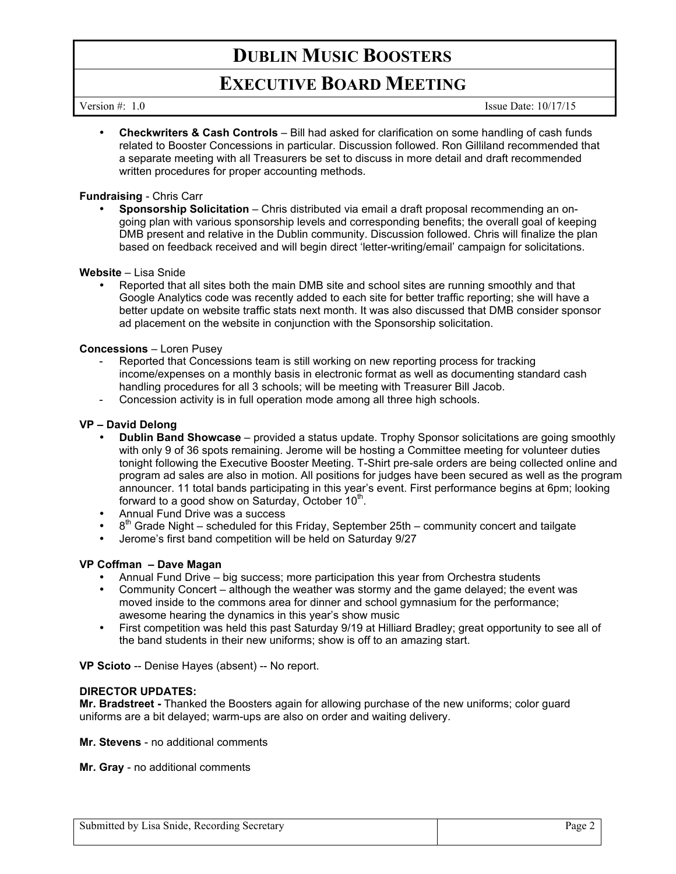# **DUBLIN MUSIC BOOSTERS**

# **EXECUTIVE BOARD MEETING**

Version #: 1.0 Issue Date: 10/17/15

• **Checkwriters & Cash Controls** – Bill had asked for clarification on some handling of cash funds related to Booster Concessions in particular. Discussion followed. Ron Gilliland recommended that a separate meeting with all Treasurers be set to discuss in more detail and draft recommended written procedures for proper accounting methods.

# **Fundraising** - Chris Carr

• **Sponsorship Solicitation** – Chris distributed via email a draft proposal recommending an ongoing plan with various sponsorship levels and corresponding benefits; the overall goal of keeping DMB present and relative in the Dublin community. Discussion followed. Chris will finalize the plan based on feedback received and will begin direct 'letter-writing/email' campaign for solicitations.

# **Website** – Lisa Snide

• Reported that all sites both the main DMB site and school sites are running smoothly and that Google Analytics code was recently added to each site for better traffic reporting; she will have a better update on website traffic stats next month. It was also discussed that DMB consider sponsor ad placement on the website in conjunction with the Sponsorship solicitation.

### **Concessions** – Loren Pusey

- Reported that Concessions team is still working on new reporting process for tracking income/expenses on a monthly basis in electronic format as well as documenting standard cash handling procedures for all 3 schools; will be meeting with Treasurer Bill Jacob.
- Concession activity is in full operation mode among all three high schools.

### **VP – David Delong**

- **Dublin Band Showcase** provided a status update. Trophy Sponsor solicitations are going smoothly with only 9 of 36 spots remaining. Jerome will be hosting a Committee meeting for volunteer duties tonight following the Executive Booster Meeting. T-Shirt pre-sale orders are being collected online and program ad sales are also in motion. All positions for judges have been secured as well as the program announcer. 11 total bands participating in this year's event. First performance begins at 6pm; looking forward to a good show on Saturday, October  $10<sup>th</sup>$ .
- Annual Fund Drive was a success
- $8<sup>th</sup>$  Grade Night scheduled for this Friday, September 25th community concert and tailgate
- Jerome's first band competition will be held on Saturday 9/27

# **VP Coffman – Dave Magan**

- Annual Fund Drive big success; more participation this year from Orchestra students
- Community Concert although the weather was stormy and the game delayed; the event was moved inside to the commons area for dinner and school gymnasium for the performance; awesome hearing the dynamics in this year's show music
- First competition was held this past Saturday 9/19 at Hilliard Bradley; great opportunity to see all of the band students in their new uniforms; show is off to an amazing start.

**VP Scioto** -- Denise Hayes (absent) -- No report.

### **DIRECTOR UPDATES:**

**Mr. Bradstreet -** Thanked the Boosters again for allowing purchase of the new uniforms; color guard uniforms are a bit delayed; warm-ups are also on order and waiting delivery.

**Mr. Stevens** - no additional comments

**Mr. Gray** - no additional comments